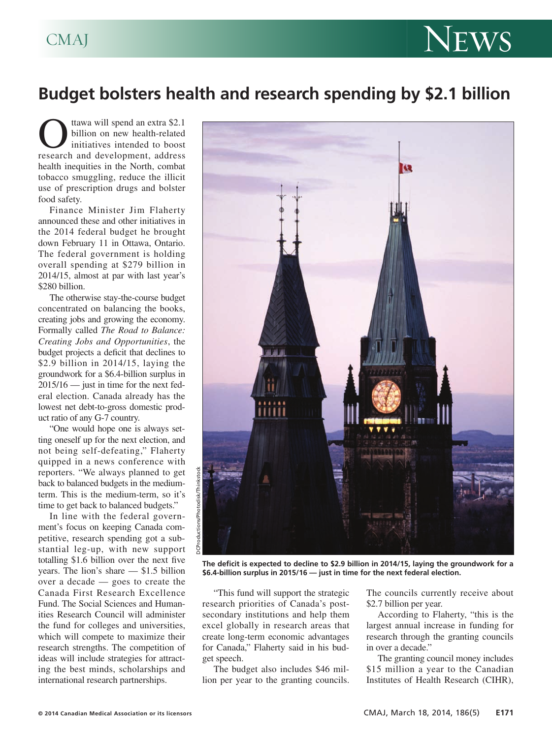## CMAJ NEWS

## **Budget bolsters health and research spending by \$2.1 billion**

**C**<br>tawa will spend an extra \$2.1<br>billion on new health-related<br>initiatives intended to boost<br>research and development, address billion on new health-related initiatives intended to boost health inequities in the North, combat tobacco smuggling, reduce the illicit use of prescription drugs and bolster food safety.

Finance Minister Jim Flaherty announced these and other initiatives in the 2014 federal budget he brought down February 11 in Ottawa, Ontario. The federal government is holding overall spending at \$279 billion in 2014/15, almost at par with last year's \$280 billion.

The otherwise stay-the-course budget concentrated on balancing the books, creating jobs and growing the economy. Formally called *The Road to Balance: Creating Jobs and Opportunities*, the budget projects a deficit that declines to \$2.9 billion in 2014/15, laying the groundwork for a \$6.4-billion surplus in 2015/16 — just in time for the next federal election. Canada already has the lowest net debt-to-gross domestic product ratio of any G-7 country.

"One would hope one is always setting oneself up for the next election, and not being self-defeating," Flaherty quipped in a news conference with reporters. "We always planned to get back to balanced budgets in the mediumterm. This is the medium-term, so it's time to get back to balanced budgets."

In line with the federal government's focus on keeping Canada competitive, research spending got a substantial leg-up, with new support totalling \$1.6 billion over the next five years. The lion's share — \$1.5 billion over a decade — goes to create the Canada First Research Excellence Fund. The Social Sciences and Humanities Research Council will administer the fund for colleges and universities, which will compete to maximize their research strengths. The competition of ideas will include strategies for attracting the best minds, scholarships and international research partnerships.



**The deficit is expected to decline to \$2.9 billion in 2014/15, laying the groundwork for a \$6.4-billion surplus in 2015/16 — just in time for the next federal election.**

"This fund will support the strategic research priorities of Canada's postsecondary institutions and help them excel globally in research areas that create long-term economic advantages for Canada," Flaherty said in his budget speech.

The budget also includes \$46 million per year to the granting councils.

The councils currently receive about \$2.7 billion per year.

According to Flaherty, "this is the largest annual increase in funding for research through the granting councils in over a decade."

The granting council money includes \$15 million a year to the Canadian Institutes of Health Research (CIHR),